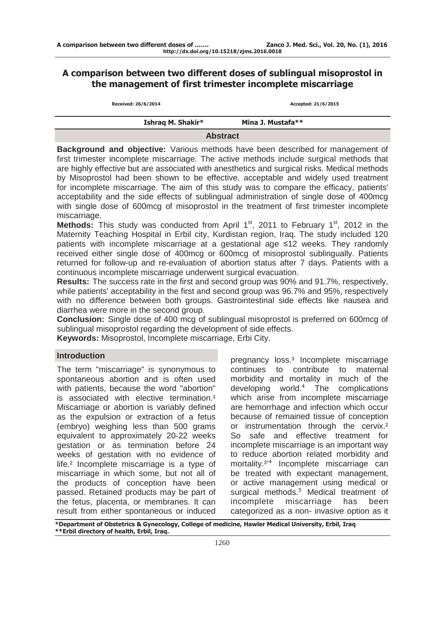# A comparison between two different doses of sublingual misoprostol in the management of first trimester incomplete miscarriage

| Received: 26/6/2014 | Accepted: 21/6/2015 |
|---------------------|---------------------|
| Ishrag M. Shakir*   | Mina J. Mustafa**   |
|                     | <b>Abstract</b>     |

**Background and objective:** Various methods have been described for management of first trimester incomplete miscarriage. The active methods include surgical methods that are highly effective but are associated with anesthetics and surgical risks. Medical methods by Misoprostol had been shown to be effective, acceptable and widely used treatment for incomplete miscarriage. The aim of this study was to compare the efficacy, patients' acceptability and the side effects of sublingual administration of single dose of 400mcg with single dose of 600mcg of misoprostol in the treatment of first trimester incomplete miscarriage.

**Methods:** This study was conducted from April 1<sup>st</sup>, 2011 to February 1<sup>st</sup>, 2012 in the Maternity Teaching Hospital in Erbil city, Kurdistan region, Iraq. The study included 120 patients with incomplete miscarriage at a gestational age ≤12 weeks. They randomly received either single dose of 400mcg or 600mcg of misoprostol sublingually. Patients returned for follow-up and re-evaluation of abortion status after 7 days. Patients with a continuous incomplete miscarriage underwent surgical evacuation.

**Results:** The success rate in the first and second group was 90% and 91.7%, respectively, while patients' acceptability in the first and second group was 96.7% and 95%, respectively with no difference between both groups. Gastrointestinal side effects like nausea and diarrhea were more in the second group.

**Conclusion:** Single dose of 400 mcg of sublingual misoprostol is preferred on 600mcg of sublingual misoprostol regarding the development of side effects.

**Keywords:** Misoprostol, Incomplete miscarriage, Erbi City.

## **Introduction**

The term "miscarriage" is synonymous to spontaneous abortion and is often used with patients, because the word "abortion" is associated with elective termination.<sup>1</sup> Miscarriage or abortion is variably defined as the expulsion or extraction of a fetus (embryo) weighing less than 500 grams equivalent to approximately 20-22 weeks gestation or as termination before 24 weeks of gestation with no evidence of life.² Incomplete miscarriage is a type of miscarriage in which some, but not all of the products of conception have been passed. Retained products may be part of the fetus, placenta, or membranes. It can result from either spontaneous or induced

pregnancy loss.³ Incomplete miscarriage continues to contribute to maternal morbidity and mortality in much of the developing world. $4$  The complications which arise from incomplete miscarriage are hemorrhage and infection which occur because of remained tissue of conception or instrumentation through the cervix.<sup>2</sup> So safe and effective treatment for incomplete miscarriage is an important way to reduce abortion related morbidity and mortality.<sup>3'4</sup> Incomplete miscarriage can be treated with expectant management, or active management using medical or surgical methods.<sup>5</sup> Medical treatment of incomplete miscarriage has been categorized as a non- invasive option as it

\*Department of Obstetrics & Gynecology, College of medicine, Hawler Medical University, Erbil, Iraq \*\*Erbil directory of health, Erbil, Iraq.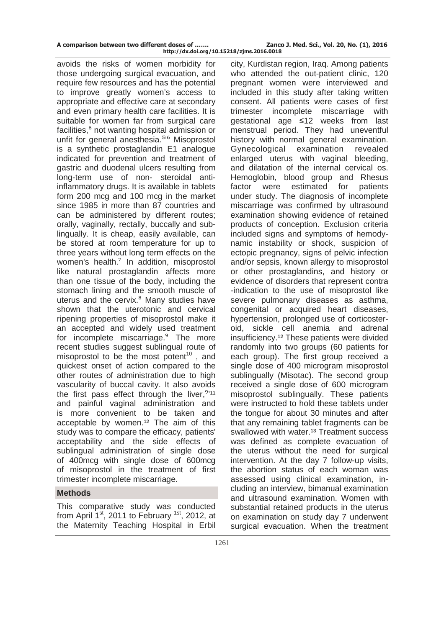| A comparison between two different doses of | Zanco J. Med. Sci., Vol. 20, No. (1), 2016 |
|---------------------------------------------|--------------------------------------------|
| http://dx.doi.org/10.15218/zjms.2016.0018   |                                            |

avoids the risks of women morbidity for those undergoing surgical evacuation, and require few resources and has the potential to improve greatly women's access to appropriate and effective care at secondary and even primary health care facilities. It is suitable for women far from surgical care facilities,<sup>6</sup> not wanting hospital admission or unfit for general anesthesia.<sup>5,6</sup> Misoprostol is a synthetic prostaglandin E1 analogue indicated for prevention and treatment of gastric and duodenal ulcers resulting from long-term use of non- steroidal antiinflammatory drugs. It is available in tablets form 200 mcg and 100 mcg in the market since 1985 in more than 87 countries and can be administered by different routes; orally, vaginally, rectally, buccally and sublingually. It is cheap, easily available, can be stored at room temperature for up to three years without long term effects on the women's health.<sup>7</sup> In addition, misoprostol like natural prostaglandin affects more than one tissue of the body, including the stomach lining and the smooth muscle of uterus and the cervix.<sup>8</sup> Many studies have shown that the uterotonic and cervical ripening properties of misoprostol make it an accepted and widely used treatment for incomplete miscarriage.<sup>9</sup> The more recent studies suggest sublingual route of misoprostol to be the most potent<sup>10</sup>, and quickest onset of action compared to the other routes of administration due to high vascularity of buccal cavity. It also avoids the first pass effect through the liver,  $9'11$ and painful vaginal administration and is more convenient to be taken and acceptable by women.<sup>12</sup> The aim of this study was to compare the efficacy, patients' acceptability and the side effects of sublingual administration of single dose of 400mcg with single dose of 600mcg of misoprostol in the treatment of first trimester incomplete miscarriage.

## **Methods**

This comparative study was conducted from April  $1<sup>st</sup>$ , 2011 to February <sup>1st</sup>, 2012, at the Maternity Teaching Hospital in Erbil

city, Kurdistan region, Iraq. Among patients who attended the out-patient clinic, 120 pregnant women were interviewed and included in this study after taking written consent. All patients were cases of first trimester incomplete miscarriage with gestational age ≤12 weeks from last menstrual period. They had uneventful history with normal general examination. Gynecological examination revealed enlarged uterus with vaginal bleeding, and dilatation of the internal cervical os. Hemoglobin, blood group and Rhesus factor were estimated for patients under study. The diagnosis of incomplete miscarriage was confirmed by ultrasound examination showing evidence of retained products of conception. Exclusion criteria included signs and symptoms of hemodynamic instability or shock, suspicion of ectopic pregnancy, signs of pelvic infection and/or sepsis, known allergy to misoprostol or other prostaglandins, and history or evidence of disorders that represent contra -indication to the use of misoprostol like severe pulmonary diseases as asthma, congenital or acquired heart diseases, hypertension, prolonged use of corticosteroid, sickle cell anemia and adrenal insufficiency.<sup>12</sup> These patients were divided randomly into two groups (60 patients for each group). The first group received a single dose of 400 microgram misoprostol sublingually (Misotac). The second group received a single dose of 600 microgram misoprostol sublingually. These patients were instructed to hold these tablets under the tongue for about 30 minutes and after that any remaining tablet fragments can be swallowed with water.<sup>13</sup> Treatment success was defined as complete evacuation of the uterus without the need for surgical intervention. At the day 7 follow-up visits, the abortion status of each woman was assessed using clinical examination, including an interview, bimanual examination and ultrasound examination. Women with substantial retained products in the uterus on examination on study day 7 underwent surgical evacuation. When the treatment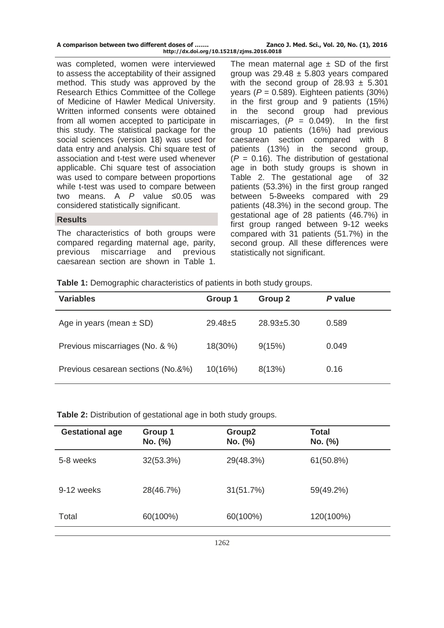| A comparison between two different doses of | Zanco J. Med. Sci., Vol. 20, No. (1), 2016 |
|---------------------------------------------|--------------------------------------------|
| http://dx.doi.org/10.15218/zjms.2016.0018   |                                            |

was completed, women were interviewed to assess the acceptability of their assigned method. This study was approved by the Research Ethics Committee of the College of Medicine of Hawler Medical University. Written informed consents were obtained from all women accepted to participate in this study. The statistical package for the social sciences (version 18) was used for data entry and analysis. Chi square test of association and t-test were used whenever applicable. Chi square test of association was used to compare between proportions while t-test was used to compare between two means. A  $P$  value  $\leq 0.05$  was considered statistically significant.

#### **Results**

The characteristics of both groups were compared regarding maternal age, parity, previous miscarriage and previous caesarean section are shown in Table 1.

The mean maternal age  $\pm$  SD of the first group was  $29.48 \pm 5.803$  years compared with the second group of  $28.93 \pm 5.301$ years ( $P = 0.589$ ). Eighteen patients (30%) in the first group and 9 patients (15%) in the second group had previous miscarriages,  $(P = 0.049)$ . In the first group 10 patients (16%) had previous caesarean section compared with 8 patients (13%) in the second group,  $(P = 0.16)$ . The distribution of gestational age in both study groups is shown in Table 2. The gestational age of 32 patients (53.3%) in the first group ranged between 5-8weeks compared with 29 patients (48.3%) in the second group. The gestational age of 28 patients (46.7%) in first group ranged between 9-12 weeks compared with 31 patients (51.7%) in the second group. All these differences were statistically not significant.

**Table 1:** Demographic characteristics of patients in both study groups.

| <b>Variables</b>                   | Group 1     | Group 2          | P value |
|------------------------------------|-------------|------------------|---------|
| Age in years (mean $\pm$ SD)       | $29.48 + 5$ | $28.93 \pm 5.30$ | 0.589   |
| Previous miscarriages (No. & %)    | 18(30%)     | 9(15%)           | 0.049   |
| Previous cesarean sections (No.&%) | 10(16%)     | 8(13%)           | 0.16    |

**Table 2:** Distribution of gestational age in both study groups.

| <b>Gestational age</b> | Group 1<br>No. (%) | Group <sub>2</sub><br>No. (%) | <b>Total</b><br>No. (%) |
|------------------------|--------------------|-------------------------------|-------------------------|
| 5-8 weeks              | $32(53.3\%)$       | 29(48.3%)                     | $61(50.8\%)$            |
| 9-12 weeks             | 28(46.7%)          | 31(51.7%)                     | 59(49.2%)               |
| Total                  | 60(100%)           | 60(100%)                      | 120(100%)               |
|                        |                    |                               |                         |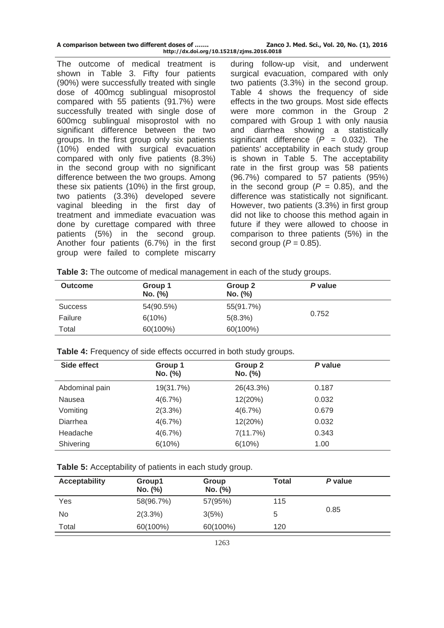| A comparison between two different doses of | Zanco J. Med. Sci., Vol. 20, No. (1), 2016 |
|---------------------------------------------|--------------------------------------------|
| http://dx.doi.org/10.15218/zjms.2016.0018   |                                            |

The outcome of medical treatment is shown in Table 3. Fifty four patients (90%) were successfully treated with single dose of 400mcg sublingual misoprostol compared with 55 patients (91.7%) were successfully treated with single dose of 600mcg sublingual misoprostol with no significant difference between the two groups. In the first group only six patients (10%) ended with surgical evacuation compared with only five patients (8.3%) in the second group with no significant difference between the two groups. Among these six patients (10%) in the first group, two patients (3.3%) developed severe vaginal bleeding in the first day of treatment and immediate evacuation was done by curettage compared with three patients (5%) in the second group. Another four patients (6.7%) in the first group were failed to complete miscarry

during follow-up visit, and underwent surgical evacuation, compared with only two patients (3.3%) in the second group. Table 4 shows the frequency of side effects in the two groups. Most side effects were more common in the Group 2 compared with Group 1 with only nausia and diarrhea showing a statistically significant difference  $(P = 0.032)$ . The patients' acceptability in each study group is shown in Table 5. The acceptability rate in the first group was 58 patients (96.7%) compared to 57 patients (95%) in the second group  $(P = 0.85)$ , and the difference was statistically not significant. However, two patients (3.3%) in first group did not like to choose this method again in future if they were allowed to choose in comparison to three patients (5%) in the second group  $(P = 0.85)$ .

| Table 3: The outcome of medical management in each of the study groups. |  |
|-------------------------------------------------------------------------|--|
|-------------------------------------------------------------------------|--|

| <b>Outcome</b> | Group 1<br>No. (%) | Group 2<br>No. (%) | P value |
|----------------|--------------------|--------------------|---------|
| <b>Success</b> | 54(90.5%)          | 55(91.7%)          |         |
| Failure        | $6(10\%)$          | 5(8.3%)            | 0.752   |
| Total          | 60(100%)           | 60(100%)           |         |

|  |  |  |  | Table 4: Frequency of side effects occurred in both study groups. |
|--|--|--|--|-------------------------------------------------------------------|
|--|--|--|--|-------------------------------------------------------------------|

| Side effect    | Group 1<br>No. (%) | Group 2<br>No. (%) | P value |  |
|----------------|--------------------|--------------------|---------|--|
| Abdominal pain | 19(31.7%)          | 26(43.3%)          | 0.187   |  |
| Nausea         | 4(6.7%)            | 12(20%)            | 0.032   |  |
| Vomiting       | 2(3.3%)            | 4(6.7%)            | 0.679   |  |
| Diarrhea       | 4(6.7%)            | 12(20%)            | 0.032   |  |
| Headache       | 4(6.7%)            | 7(11.7%)           | 0.343   |  |
| Shivering      | 6(10%)             | 6(10%)             | 1.00    |  |

|  |  |  |  |  | <b>Table 5:</b> Acceptability of patients in each study group. |
|--|--|--|--|--|----------------------------------------------------------------|
|--|--|--|--|--|----------------------------------------------------------------|

| <b>Acceptability</b> | Group1<br>No. (%) | Group<br>No. (%) | Total | P value |
|----------------------|-------------------|------------------|-------|---------|
| Yes                  | 58(96.7%)         | 57(95%)          | 115   |         |
| No                   | 2(3.3%)           | 3(5%)            | 5     | 0.85    |
| Total                | 60(100%)          | 60(100%)         | 120   |         |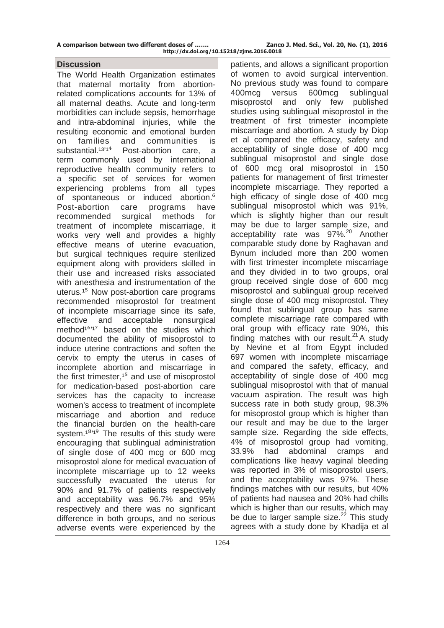### **Discussion**

The World Health Organization estimates that maternal mortality from abortionrelated complications accounts for 13% of all maternal deaths. Acute and long-term morbidities can include sepsis, hemorrhage and intra-abdominal injuries, while the resulting economic and emotional burden on families and communities is substantial.<sup>13'14</sup> Post-abortion care, a term commonly used by international reproductive health community refers to a specific set of services for women experiencing problems from all types of spontaneous or induced abortion.<sup>6</sup> Post-abortion care programs have recommended surgical methods for treatment of incomplete miscarriage, it works very well and provides a highly effective means of uterine evacuation, but surgical techniques require sterilized equipment along with providers skilled in their use and increased risks associated with anesthesia and instrumentation of the uterus.<sup>15</sup> Now post-abortion care programs recommended misoprostol for treatment of incomplete miscarriage since its safe, effective and acceptable nonsurgical method<sup>16'17</sup> based on the studies which documented the ability of misoprostol to induce uterine contractions and soften the cervix to empty the uterus in cases of incomplete abortion and miscarriage in the first trimester, $15$  and use of misoprostol for medication-based post-abortion care services has the capacity to increase women's access to treatment of incomplete miscarriage and abortion and reduce the financial burden on the health-care system.<sup> $18'19$ </sup> The results of this study were encouraging that sublingual administration of single dose of 400 mcg or 600 mcg misoprostol alone for medical evacuation of incomplete miscarriage up to 12 weeks successfully evacuated the uterus for 90% and 91.7% of patients respectively and acceptability was 96.7% and 95% respectively and there was no significant difference in both groups, and no serious adverse events were experienced by the

patients, and allows a significant proportion of women to avoid surgical intervention. No previous study was found to compare 400mcg versus 600mcg sublingual misoprostol and only few published studies using sublingual misoprostol in the treatment of first trimester incomplete miscarriage and abortion. A study by Diop et al compared the efficacy, safety and acceptability of single dose of 400 mcg sublingual misoprostol and single dose of 600 mcg oral misoprostol in 150 patients for management of first trimester incomplete miscarriage. They reported a high efficacy of single dose of 400 mcg sublingual misoprostol which was 91%, which is slightly higher than our result may be due to larger sample size, and acceptability rate was 97%.<sup>20</sup> Another comparable study done by Raghavan and Bynum included more than 200 women with first trimester incomplete miscarriage and they divided in to two groups, oral group received single dose of 600 mcg misoprostol and sublingual group received single dose of 400 mcg misoprostol. They found that sublingual group has same complete miscarriage rate compared with oral group with efficacy rate 90%, this finding matches with our result.<sup>21</sup> A study by Nevine et al from Egypt included 697 women with incomplete miscarriage and compared the safety, efficacy, and acceptability of single dose of 400 mcg sublingual misoprostol with that of manual vacuum aspiration. The result was high success rate in both study group, 98.3% for misoprostol group which is higher than our result and may be due to the larger sample size. Regarding the side effects, 4% of misoprostol group had vomiting, 33.9% had abdominal cramps and complications like heavy vaginal bleeding was reported in 3% of misoprostol users, and the acceptability was 97%. These findings matches with our results, but 40% of patients had nausea and 20% had chills which is higher than our results, which may be due to larger sample size. $2^2$  This study agrees with a study done by Khadija et al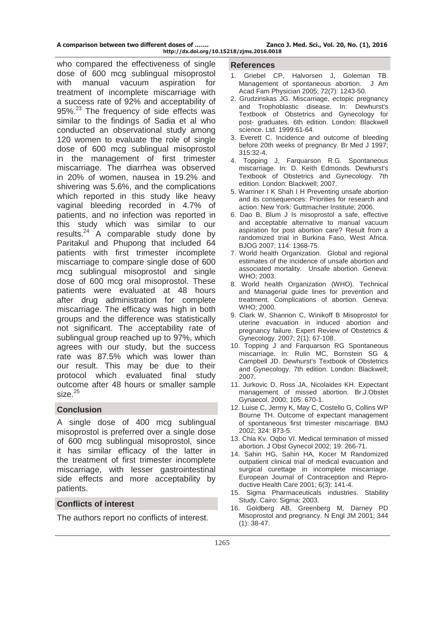| A comparison between two different doses of |
|---------------------------------------------|
| http://dx.doi.org/10.15218/zims.201         |

who compared the effectiveness of single **References** dose of 600 mcg sublingual misoprostol with manual vacuum aspiration for treatment of incomplete miscarriage with a success rate of 92% and acceptability of 95%.<sup>23</sup> The frequency of side effects was similar to the findings of Sadia et al who conducted an observational study among 120 women to evaluate the role of single dose of 600 mcg sublingual misoprostol in the management of first trimester miscarriage. The diarrhea was observed in 20% of women, nausea in 19.2% and shivering was 5.6%, and the complications which reported in this study like heavy vaginal bleeding recorded in 4.7% of patients, and no infection was reported in this study which was similar to our results. $24$  A comparable study done by Paritakul and Phupong that included 64 patients with first trimester incomplete miscarriage to compare single dose of 600 mcg sublingual misoprostol and single dose of 600 mcg oral misoprostol. These patients were evaluated at 48 hours after drug administration for complete miscarriage. The efficacy was high in both groups and the difference was statistically not significant. The acceptability rate of sublingual group reached up to 97%, which agrees with our study, but the success rate was 87.5% which was lower than our result. This may be due to their protocol which evaluated final study outcome after 48 hours or smaller sample  $size<sup>25</sup>$ 

# **Conclusion**

A single dose of 400 mcg sublingual misoprostol is preferred over a single dose of 600 mcg sublingual misoprostol, since it has similar efficacy of the latter in the treatment of first trimester incomplete miscarriage, with lesser gastrointestinal side effects and more acceptability by patients.

## **Conflicts of interest**

The authors report no conflicts of interest.

- 1. Griebel CP, Halvorsen J, Goleman TB. Management of spontaneous abortion. J Am Acad Fam Physician 2005; 72(7): 1243-50.
- 2. Grudzinskas JG. Miscarriage, ectopic pregnancy and Trophoblastic disease. In: Dewhurst's Textbook of Obstetrics and Gynecology for post- graduates. 6th edition. London: Blackwell science. Ltd. 1999:61-64.
- 3. Everett C. Incidence and outcome of bleeding before 20th weeks of pregnancy. Br Med J 1997; 315:32-4.
- 4. Topping J, Farquarson R.G. Spontaneous miscarriage. In: D. Keith Edmonds. Dewhurst's Textbook of Obstetrics and Gynecology. 7th edition. London: Blackwell; 2007.
- 5. Warriner I K Shah I H Preventing unsafe abortion and its consequences: Priorities for research and action. New York: Guttmacher Institute; 2006.
- 6. Dao B, Blum J Is misoprostol a safe, effective and acceptable alternative to manual vacuum aspiration for post abortion care? Result from a randomized trial in Burkina Faso, West Africa. BJOG 2007; 114: 1368-75.
- 7. World health Organization. Global and regional estimates of the incidence of unsafe abortion and associated mortality. Unsafe abortion. Geneva: WHO; 2003.
- 8. World health Organization (WHO). Technical and Managerial guide lines for prevention and treatment. Complications of abortion. Geneva: WHO; 2000.
- 9. Clark W, Shannon C, Winikoff B Misoprostol for uterine evacuation in induced abortion and pregnancy failure. Expert Review of Obstetrics & Gynecology. 2007; 2(1): 67-108.
- 10. Topping J and Farquarson RG Spontaneous miscarriage. In: Rulin MC, Bornstein SG & Campbell JD. Dewhurst's Textbook of Obstetrics and Gynecology. 7th edition. London: Blackwell; 2007.
- 11. Jurkovic D, Ross JA, Nicolaides KH. Expectant management of missed abortion. Br.J.Obstet Gynaecol. 2000; 105: 670-1.
- 12. Luise C, Jermy K, May C, Costello G, Collins WP Bourne TH. Outcome of expectant management of spontaneous first trimester miscarriage. BMJ 2002; 324: 873-5.
- 13. Chia Kv. Oqbo VI. Medical termination of missed abortion. J Obst Gynecol 2002; 19: 266-71.
- 14. Sahin HG, Sahin HA, Kocer M Randomized outpatient clinical trial of medical evacuation and surgical curettage in incomplete miscarriage. European Journal of Contraception and Reproductive Health Care 2001; 6(3): 141-4.
- 15. Sigma Pharmaceuticals industries. Stability Study. Cairo: Sigma; 2003.
- 16. Goldberg AB, Greenberg M, Darney PD Misoprostol and pregnancy. N Engl JM 2001; 344 (1): 38-47.